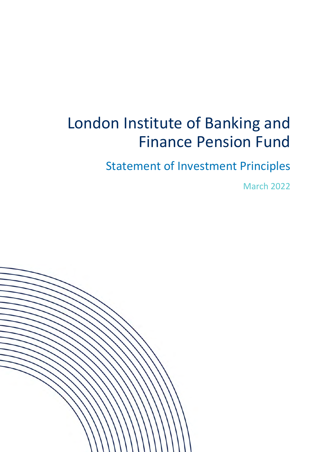# London Institute of Banking and Finance Pension Fund

Statement of Investment Principles

March 2022

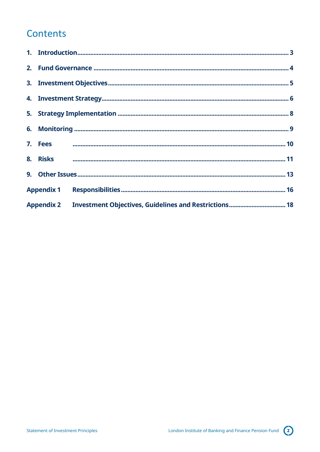# Contents

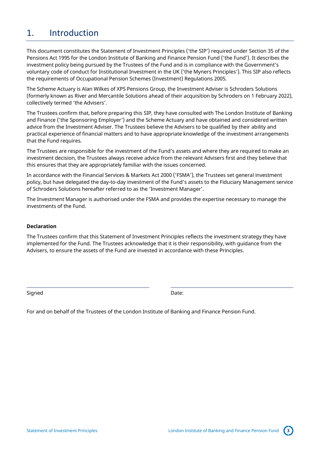# <span id="page-2-0"></span>1. Introduction

This document constitutes the Statement of Investment Principles ('the SIP') required under Section 35 of the Pensions Act 1995 for the London Institute of Banking and Finance Pension Fund ('the Fund'). It describes the investment policy being pursued by the Trustees of the Fund and is in compliance with the Government's voluntary code of conduct for Institutional Investment in the UK ('the Myners Principles'). This SIP also reflects the requirements of Occupational Pension Schemes (Investment) Regulations 2005.

The Scheme Actuary is Alan Wilkes of XPS Pensions Group, the Investment Adviser is Schroders Solutions (formerly known as River and Mercantile Solutions ahead of their acquisition by Schroders on 1 February 2022), collectively termed 'the Advisers'.

The Trustees confirm that, before preparing this SIP, they have consulted with The London Institute of Banking and Finance ('the Sponsoring Employer') and the Scheme Actuary and have obtained and considered written advice from the Investment Adviser. The Trustees believe the Advisers to be qualified by their ability and practical experience of financial matters and to have appropriate knowledge of the investment arrangements that the Fund requires.

The Trustees are responsible for the investment of the Fund's assets and where they are required to make an investment decision, the Trustees always receive advice from the relevant Advisers first and they believe that this ensures that they are appropriately familiar with the issues concerned.

In accordance with the Financial Services & Markets Act 2000 ('FSMA'), the Trustees set general investment policy, but have delegated the day-to-day investment of the Fund's assets to the Fiduciary Management service of Schroders Solutions hereafter referred to as the 'Investment Manager'.

The Investment Manager is authorised under the FSMA and provides the expertise necessary to manage the investments of the Fund.

#### **Declaration**

The Trustees confirm that this Statement of Investment Principles reflects the investment strategy they have implemented for the Fund. The Trustees acknowledge that it is their responsibility, with guidance from the Advisers, to ensure the assets of the Fund are invested in accordance with these Principles.

Signed Date:

For and on behalf of the Trustees of the London Institute of Banking and Finance Pension Fund.

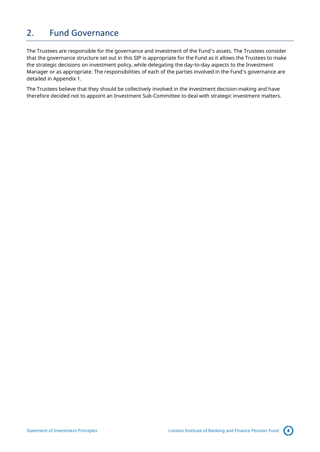# <span id="page-3-0"></span>2. Fund Governance

The Trustees are responsible for the governance and investment of the Fund's assets. The Trustees consider that the governance structure set out in this SIP is appropriate for the Fund as it allows the Trustees to make the strategic decisions on investment policy, while delegating the day-to-day aspects to the Investment Manager or as appropriate. The responsibilities of each of the parties involved in the Fund's governance are detailed in [Appendix 1.](#page-15-0)

The Trustees believe that they should be collectively involved in the investment decision-making and have therefore decided not to appoint an Investment Sub-Committee to deal with strategic investment matters.

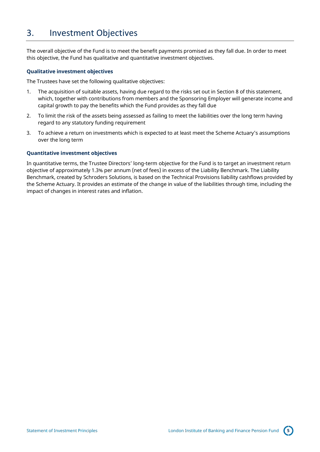# <span id="page-4-0"></span>3. Investment Objectives

The overall objective of the Fund is to meet the benefit payments promised as they fall due. In order to meet this objective, the Fund has qualitative and quantitative investment objectives.

#### **Qualitative investment objectives**

The Trustees have set the following qualitative objectives:

- 1. The acquisition of suitable assets, having due regard to the risks set out in Section 8 of this statement, which, together with contributions from members and the Sponsoring Employer will generate income and capital growth to pay the benefits which the Fund provides as they fall due
- 2. To limit the risk of the assets being assessed as failing to meet the liabilities over the long term having regard to any statutory funding requirement
- 3. To achieve a return on investments which is expected to at least meet the Scheme Actuary's assumptions over the long term

#### **Quantitative investment objectives**

In quantitative terms, the Trustee Directors' long-term objective for the Fund is to target an investment return objective of approximately 1.3% per annum (net of fees) in excess of the Liability Benchmark. The Liability Benchmark, created by Schroders Solutions, is based on the Technical Provisions liability cashflows provided by the Scheme Actuary. It provides an estimate of the change in value of the liabilities through time, including the impact of changes in interest rates and inflation.

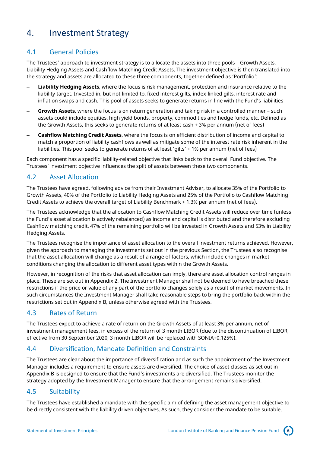# <span id="page-5-0"></span>4. Investment Strategy

### 4.1 General Policies

The Trustees' approach to investment strategy is to allocate the assets into three pools – Growth Assets, Liability Hedging Assets and Cashflow Matching Credit Assets. The investment objective is then translated into the strategy and assets are allocated to these three components, together defined as 'Portfolio':

- **Liability Hedging Assets**, where the focus is risk management, protection and insurance relative to the liability target. Invested in, but not limited to, fixed interest gilts, index-linked gilts, interest rate and inflation swaps and cash. This pool of assets seeks to generate returns in line with the Fund's liabilities
- **Growth Assets**, where the focus is on return generation and taking risk in a controlled manner such assets could include equities, high yield bonds, property, commodities and hedge funds, etc. Defined as the Growth Assets, this seeks to generate returns of at least cash + 3% per annum (net of fees)
- **Cashflow Matching Credit Assets**, where the focus is on efficient distribution of income and capital to match a proportion of liability cashflows as well as mitigate some of the interest rate risk inherent in the liabilities. This pool seeks to generate returns of at least 'gilts' + 1% per annum (net of fees)

Each component has a specific liability-related objective that links back to the overall Fund objective. The Trustees' investment objective influences the split of assets between these two components.

### 4.2 Asset Allocation

The Trustees have agreed, following advice from their Investment Adviser, to allocate 35% of the Portfolio to Growth Assets, 40% of the Portfolio to Liability Hedging Assets and 25% of the Portfolio to Cashflow Matching Credit Assets to achieve the overall target of Liability Benchmark + 1.3% per annum (net of fees).

The Trustees acknowledge that the allocation to Cashflow Matching Credit Assets will reduce over time (unless the Fund's asset allocation is actively rebalanced) as income and capital is distributed and therefore excluding Cashflow matching credit, 47% of the remaining portfolio will be invested in Growth Assets and 53% in Liability Hedging Assets.

The Trustees recognise the importance of asset allocation to the overall investment returns achieved. However, given the approach to managing the investments set out in the previous Section, the Trustees also recognise that the asset allocation will change as a result of a range of factors, which include changes in market conditions changing the allocation to different asset types within the Growth Assets.

However, in recognition of the risks that asset allocation can imply, there are asset allocation control ranges in place. These are set out in [Appendix 2.](#page-17-0) The Investment Manager shall not be deemed to have breached these restrictions if the price or value of any part of the portfolio changes solely as a result of market movements. In such circumstances the Investment Manager shall take reasonable steps to bring the portfolio back within the restrictions set out in Appendix B, unless otherwise agreed with the Trustees.

## 4.3 Rates of Return

The Trustees expect to achieve a rate of return on the Growth Assets of at least 3% per annum, net of investment management fees, in excess of the return of 3 month LIBOR (due to the discontinuation of LIBOR, effective from 30 September 2020, 3 month LIBOR will be replaced with SONIA+0.125%).

## 4.4 Diversification, Mandate Definition and Constraints

The Trustees are clear about the importance of diversification and as such the appointment of the Investment Manager includes a requirement to ensure assets are diversified. The choice of asset classes as set out in Appendix B is designed to ensure that the Fund's investments are diversified. The Trustees monitor the strategy adopted by the Investment Manager to ensure that the arrangement remains diversified.

### 4.5 Suitability

The Trustees have established a mandate with the specific aim of defining the asset management objective to be directly consistent with the liability driven objectives. As such, they consider the mandate to be suitable.

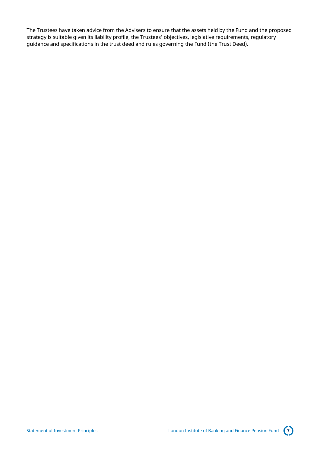The Trustees have taken advice from the Advisers to ensure that the assets held by the Fund and the proposed strategy is suitable given its liability profile, the Trustees' objectives, legislative requirements, regulatory guidance and specifications in the trust deed and rules governing the Fund (the Trust Deed).

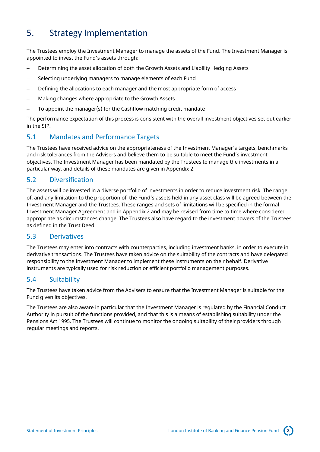# <span id="page-7-0"></span>5. Strategy Implementation

The Trustees employ the Investment Manager to manage the assets of the Fund. The Investment Manager is appointed to invest the Fund's assets through:

- Determining the asset allocation of both the Growth Assets and Liability Hedging Assets
- Selecting underlying managers to manage elements of each Fund
- Defining the allocations to each manager and the most appropriate form of access
- Making changes where appropriate to the Growth Assets
- To appoint the manager(s) for the Cashflow matching credit mandate

The performance expectation of this process is consistent with the overall investment objectives set out earlier in the SIP.

## 5.1 Mandates and Performance Targets

The Trustees have received advice on the appropriateness of the Investment Manager's targets, benchmarks and risk tolerances from the Advisers and believe them to be suitable to meet the Fund's investment objectives. The Investment Manager has been mandated by the Trustees to manage the investments in a particular way, and details of these mandates are given in [Appendix 2.](#page-17-0) 

### 5.2 Diversification

The assets will be invested in a diverse portfolio of investments in order to reduce investment risk. The range of, and any limitation to the proportion of, the Fund's assets held in any asset class will be agreed between the Investment Manager and the Trustees. These ranges and sets of limitations will be specified in the formal Investment Manager Agreement and i[n Appendix 2](#page-17-0) and may be revised from time to time where considered appropriate as circumstances change. The Trustees also have regard to the investment powers of the Trustees as defined in the Trust Deed.

### 5.3 Derivatives

The Trustees may enter into contracts with counterparties, including investment banks, in order to execute in derivative transactions. The Trustees have taken advice on the suitability of the contracts and have delegated responsibility to the Investment Manager to implement these instruments on their behalf. Derivative instruments are typically used for risk reduction or efficient portfolio management purposes.

### 5.4 Suitability

The Trustees have taken advice from the Advisers to ensure that the Investment Manager is suitable for the Fund given its objectives.

The Trustees are also aware in particular that the Investment Manager is regulated by the Financial Conduct Authority in pursuit of the functions provided, and that this is a means of establishing suitability under the Pensions Act 1995. The Trustees will continue to monitor the ongoing suitability of their providers through regular meetings and reports.

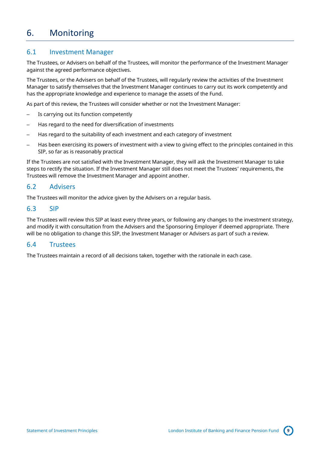# <span id="page-8-0"></span>6. Monitoring

### 6.1 Investment Manager

The Trustees, or Advisers on behalf of the Trustees, will monitor the performance of the Investment Manager against the agreed performance objectives.

The Trustees, or the Advisers on behalf of the Trustees, will regularly review the activities of the Investment Manager to satisfy themselves that the Investment Manager continues to carry out its work competently and has the appropriate knowledge and experience to manage the assets of the Fund.

As part of this review, the Trustees will consider whether or not the Investment Manager:

- Is carrying out its function competently
- Has regard to the need for diversification of investments
- Has regard to the suitability of each investment and each category of investment
- Has been exercising its powers of investment with a view to giving effect to the principles contained in this SIP, so far as is reasonably practical

If the Trustees are not satisfied with the Investment Manager, they will ask the Investment Manager to take steps to rectify the situation. If the Investment Manager still does not meet the Trustees' requirements, the Trustees will remove the Investment Manager and appoint another.

# 6.2 Advisers

The Trustees will monitor the advice given by the Advisers on a regular basis.

### 6.3 SIP

The Trustees will review this SIP at least every three years, or following any changes to the investment strategy, and modify it with consultation from the Advisers and the Sponsoring Employer if deemed appropriate. There will be no obligation to change this SIP, the Investment Manager or Advisers as part of such a review.

### 6.4 Trustees

The Trustees maintain a record of all decisions taken, together with the rationale in each case.

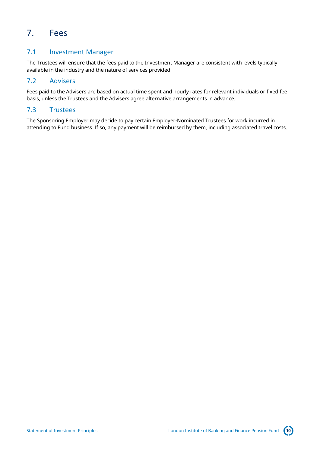# <span id="page-9-0"></span>7. Fees

### 7.1 Investment Manager

The Trustees will ensure that the fees paid to the Investment Manager are consistent with levels typically available in the industry and the nature of services provided.

### 7.2 Advisers

Fees paid to the Advisers are based on actual time spent and hourly rates for relevant individuals or fixed fee basis, unless the Trustees and the Advisers agree alternative arrangements in advance.

### 7.3 Trustees

The Sponsoring Employer may decide to pay certain Employer-Nominated Trustees for work incurred in attending to Fund business. If so, any payment will be reimbursed by them, including associated travel costs.

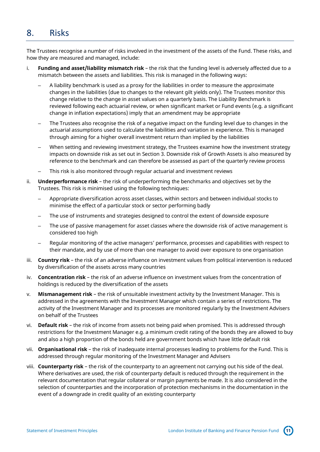# <span id="page-10-0"></span>8. Risks

The Trustees recognise a number of risks involved in the investment of the assets of the Fund. These risks, and how they are measured and managed, include:

- i. **Funding and asset/liability mismatch risk** the risk that the funding level is adversely affected due to a mismatch between the assets and liabilities. This risk is managed in the following ways:
	- A liability benchmark is used as a proxy for the liabilities in order to measure the approximate changes in the liabilities (due to changes to the relevant gilt yields only). The Trustees monitor this change relative to the change in asset values on a quarterly basis. The Liability Benchmark is reviewed following each actuarial review, or when significant market or Fund events (e.g. a significant change in inflation expectations) imply that an amendment may be appropriate
	- The Trustees also recognise the risk of a negative impact on the funding level due to changes in the actuarial assumptions used to calculate the liabilities and variation in experience. This is managed through aiming for a higher overall investment return than implied by the liabilities
	- When setting and reviewing investment strategy, the Trustees examine how the investment strategy impacts on downside risk as set out in Section 3. Downside risk of Growth Assets is also measured by reference to the benchmark and can therefore be assessed as part of the quarterly review process
	- This risk is also monitored through regular actuarial and investment reviews
- ii. **Underperformance risk** the risk of underperforming the benchmarks and objectives set by the Trustees. This risk is minimised using the following techniques:
	- Appropriate diversification across asset classes, within sectors and between individual stocks to minimise the effect of a particular stock or sector performing badly
	- The use of instruments and strategies designed to control the extent of downside exposure
	- The use of passive management for asset classes where the downside risk of active management is considered too high
	- Regular monitoring of the active managers' performance, processes and capabilities with respect to their mandate, and by use of more than one manager to avoid over exposure to one organisation
- iii. **Country risk** the risk of an adverse influence on investment values from political intervention is reduced by diversification of the assets across many countries
- iv. **Concentration risk** the risk of an adverse influence on investment values from the concentration of holdings is reduced by the diversification of the assets
- v. **Mismanagement risk** the risk of unsuitable investment activity by the Investment Manager. This is addressed in the agreements with the Investment Manager which contain a series of restrictions. The activity of the Investment Manager and its processes are monitored regularly by the Investment Advisers on behalf of the Trustees
- vi. **Default risk** the risk of income from assets not being paid when promised. This is addressed through restrictions for the Investment Manager e.g. a minimum credit rating of the bonds they are allowed to buy and also a high proportion of the bonds held are government bonds which have little default risk
- vii. **Organisational risk** the risk of inadequate internal processes leading to problems for the Fund. This is addressed through regular monitoring of the Investment Manager and Advisers
- viii. **Counterparty risk** the risk of the counterparty to an agreement not carrying out his side of the deal. Where derivatives are used, the risk of counterparty default is reduced through the requirement in the relevant documentation that regular collateral or margin payments be made. It is also considered in the selection of counterparties and the incorporation of protection mechanisms in the documentation in the event of a downgrade in credit quality of an existing counterparty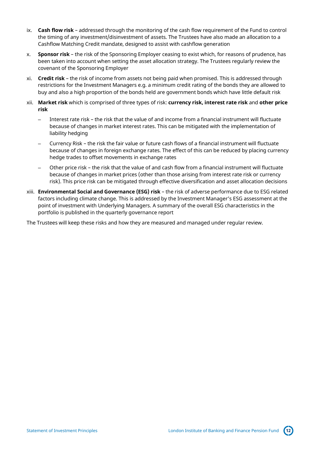- ix. **Cash flow risk** addressed through the monitoring of the cash flow requirement of the Fund to control the timing of any investment/disinvestment of assets. The Trustees have also made an allocation to a Cashflow Matching Credit mandate, designed to assist with cashflow generation
- x. **Sponsor risk** the risk of the Sponsoring Employer ceasing to exist which, for reasons of prudence, has been taken into account when setting the asset allocation strategy. The Trustees regularly review the covenant of the Sponsoring Employer
- xi. **Credit risk** the risk of income from assets not being paid when promised. This is addressed through restrictions for the Investment Managers e.g. a minimum credit rating of the bonds they are allowed to buy and also a high proportion of the bonds held are government bonds which have little default risk
- xii. **Market risk** which is comprised of three types of risk: **currency risk, interest rate risk** and **other price risk**
	- Interest rate risk the risk that the value of and income from a financial instrument will fluctuate because of changes in market interest rates. This can be mitigated with the implementation of liability hedging
	- Currency Risk the risk the fair value or future cash flows of a financial instrument will fluctuate because of changes in foreign exchange rates. The effect of this can be reduced by placing currency hedge trades to offset movements in exchange rates
	- Other price risk the risk that the value of and cash flow from a financial instrument will fluctuate because of changes in market prices (other than those arising from interest rate risk or currency risk). This price risk can be mitigated through effective diversification and asset allocation decisions
- xiii. **Environmental Social and Governance (ESG) risk** the risk of adverse performance due to ESG related factors including climate change. This is addressed by the Investment Manager's ESG assessment at the point of investment with Underlying Managers. A summary of the overall ESG characteristics in the portfolio is published in the quarterly governance report

The Trustees will keep these risks and how they are measured and managed under regular review.

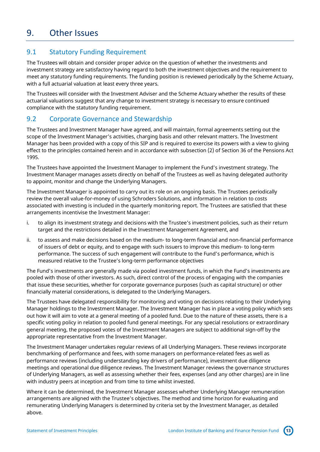# <span id="page-12-0"></span>9. Other Issues

### 9.1 Statutory Funding Requirement

The Trustees will obtain and consider proper advice on the question of whether the investments and investment strategy are satisfactory having regard to both the investment objectives and the requirement to meet any statutory funding requirements. The funding position is reviewed periodically by the Scheme Actuary, with a full actuarial valuation at least every three years.

The Trustees will consider with the Investment Adviser and the Scheme Actuary whether the results of these actuarial valuations suggest that any change to investment strategy is necessary to ensure continued compliance with the statutory funding requirement.

### 9.2 Corporate Governance and Stewardship

The Trustees and Investment Manager have agreed, and will maintain, formal agreements setting out the scope of the Investment Manager's activities, charging basis and other relevant matters. The Investment Manager has been provided with a copy of this SIP and is required to exercise its powers with a view to giving effect to the principles contained herein and in accordance with subsection (2) of Section 36 of the Pensions Act 1995.

The Trustees have appointed the Investment Manager to implement the Fund's investment strategy. The Investment Manager manages assets directly on behalf of the Trustees as well as having delegated authority to appoint, monitor and change the Underlying Managers.

The Investment Manager is appointed to carry out its role on an ongoing basis. The Trustees periodically review the overall value-for-money of using Schroders Solutions, and information in relation to costs associated with investing is included in the quarterly monitoring report. The Trustees are satisfied that these arrangements incentivise the Investment Manager:

- i. to align its investment strategy and decisions with the Trustee's investment policies, such as their return target and the restrictions detailed in the Investment Management Agreement, and
- ii. to assess and make decisions based on the medium- to long-term financial and non-financial performance of issuers of debt or equity, and to engage with such issuers to improve this medium- to long-term performance. The success of such engagement will contribute to the Fund's performance, which is measured relative to the Trustee's long-term performance objectives

The Fund's investments are generally made via pooled investment funds, in which the Fund's investments are pooled with those of other investors. As such, direct control of the process of engaging with the companies that issue these securities, whether for corporate governance purposes (such as capital structure) or other financially material considerations, is delegated to the Underlying Managers.

The Trustees have delegated responsibility for monitoring and voting on decisions relating to their Underlying Manager holdings to the Investment Manager. The Investment Manager has in place a voting policy which sets out how it will aim to vote at a general meeting of a pooled fund. Due to the nature of these assets, there is a specific voting policy in relation to pooled fund general meetings. For any special resolutions or extraordinary general meeting, the proposed votes of the Investment Managers are subject to additional sign-off by the appropriate representative from the Investment Manager.

The Investment Manager undertakes regular reviews of all Underlying Managers. These reviews incorporate benchmarking of performance and fees, with some managers on performance-related fees as well as performance reviews (including understanding key drivers of performance), investment due diligence meetings and operational due diligence reviews. The Investment Manager reviews the governance structures of Underlying Managers, as well as assessing whether their fees, expenses (and any other charges) are in line with industry peers at inception and from time to time whilst invested.

Where it can be determined, the Investment Manager assesses whether Underlying Manager remuneration arrangements are aligned with the Trustee's objectives. The method and time horizon for evaluating and remunerating Underlying Managers is determined by criteria set by the Investment Manager, as detailed above.

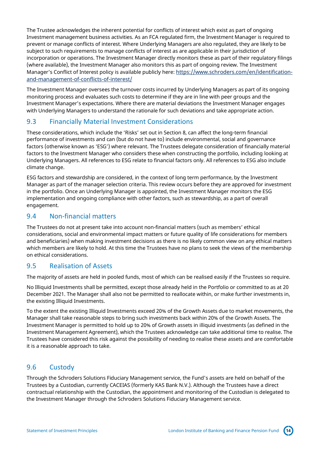The Trustee acknowledges the inherent potential for conflicts of interest which exist as part of ongoing Investment management business activities. As an FCA regulated firm, the Investment Manager is required to prevent or manage conflicts of interest. Where Underlying Managers are also regulated, they are likely to be subject to such requirements to manage conflicts of interest as are applicable in their jurisdiction of incorporation or operations. The Investment Manager directly monitors these as part of their regulatory filings (where available), the Investment Manager also monitors this as part of ongoing review. The Investment Manager's Conflict of Interest policy is available publicly here[: https://www.schroders.com/en/identification](https://www.schroders.com/en/identification-and-management-of-conflicts-of-interest/)[and-management-of-conflicts-of-interest/](https://www.schroders.com/en/identification-and-management-of-conflicts-of-interest/)

The Investment Manager oversees the turnover costs incurred by Underlying Managers as part of its ongoing monitoring process and evaluates such costs to determine if they are in line with peer groups and the Investment Manager's expectations. Where there are material deviations the Investment Manager engages with Underlying Managers to understand the rationale for such deviations and take appropriate action.

## 9.3 Financially Material Investment Considerations

These considerations, which include the 'Risks' set out in Section 8, can affect the long-term financial performance of investments and can (but do not have to) include environmental, social and governance factors (otherwise known as 'ESG') where relevant. The Trustees delegate consideration of financially material factors to the Investment Manager who considers these when constructing the portfolio, including looking at Underlying Managers. All references to ESG relate to financial factors only. All references to ESG also include climate change.

ESG factors and stewardship are considered, in the context of long term performance, by the Investment Manager as part of the manager selection criteria. This review occurs before they are approved for investment in the portfolio. Once an Underlying Manager is appointed, the Investment Manager monitors the ESG implementation and ongoing compliance with other factors, such as stewardship, as a part of overall engagement.

### 9.4 Non-financial matters

The Trustees do not at present take into account non-financial matters (such as members' ethical considerations, social and environmental impact matters or future quality of life considerations for members and beneficiaries) when making investment decisions as there is no likely common view on any ethical matters which members are likely to hold. At this time the Trustees have no plans to seek the views of the membership on ethical considerations.

### 9.5 Realisation of Assets

The majority of assets are held in pooled funds, most of which can be realised easily if the Trustees so require.

No Illiquid Investments shall be permitted, except those already held in the Portfolio or committed to as at 20 December 2021. The Manager shall also not be permitted to reallocate within, or make further investments in, the existing Illiquid Investments.

To the extent the existing Illiquid Investments exceed 20% of the Growth Assets due to market movements, the Manager shall take reasonable steps to bring such investments back within 20% of the Growth Assets. The Investment Manager is permitted to hold up to 20% of Growth assets in illiquid investments (as defined in the Investment Management Agreement), which the Trustees acknowledge can take additional time to realise. The Trustees have considered this risk against the possibility of needing to realise these assets and are comfortable it is a reasonable approach to take.

# 9.6 Custody

Through the Schroders Solutions Fiduciary Management service, the Fund's assets are held on behalf of the Trustees by a Custodian, currently CACEIAS (formerly KAS Bank N.V.). Although the Trustees have a direct contractual relationship with the Custodian, the appointment and monitoring of the Custodian is delegated to the Investment Manager through the Schroders Solutions Fiduciary Management service.

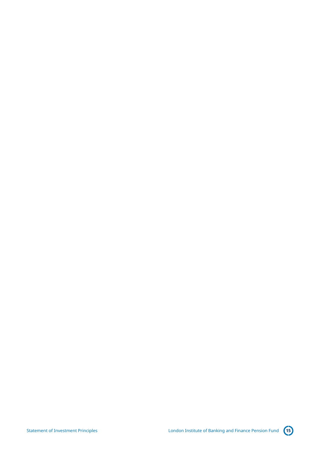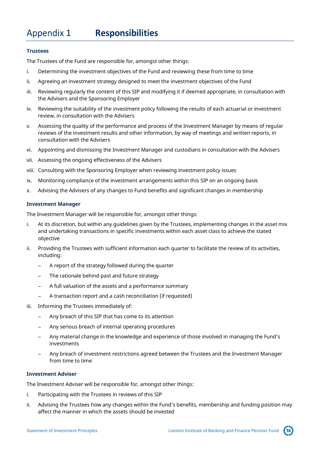#### <span id="page-15-0"></span>**Trustees**

The Trustees of the Fund are responsible for, amongst other things:

- i. Determining the investment objectives of the Fund and reviewing these from time to time
- ii. Agreeing an investment strategy designed to meet the investment objectives of the Fund
- iii. Reviewing regularly the content of this SIP and modifying it if deemed appropriate, in consultation with the Advisers and the Sponsoring Employer
- iv. Reviewing the suitability of the investment policy following the results of each actuarial or investment review, in consultation with the Advisers
- v. Assessing the quality of the performance and process of the Investment Manager by means of regular reviews of the investment results and other information, by way of meetings and written reports, in consultation with the Advisers
- vi. Appointing and dismissing the Investment Manager and custodians in consultation with the Advisers
- vii. Assessing the ongoing effectiveness of the Advisers
- viii. Consulting with the Sponsoring Employer when reviewing investment policy issues
- ix. Monitoring compliance of the investment arrangements within this SIP on an ongoing basis
- x. Advising the Advisers of any changes to Fund benefits and significant changes in membership

#### **Investment Manager**

The Investment Manager will be responsible for, amongst other things:

- i. At its discretion, but within any guidelines given by the Trustees, implementing changes in the asset mix and undertaking transactions in specific investments within each asset class to achieve the stated objective
- ii. Providing the Trustees with sufficient information each quarter to facilitate the review of its activities, including:
	- A report of the strategy followed during the quarter
	- The rationale behind past and future strategy
	- A full valuation of the assets and a performance summary
	- A transaction report and a cash reconciliation (if requested)
- iii. Informing the Trustees immediately of:
	- Any breach of this SIP that has come to its attention
	- Any serious breach of internal operating procedures
	- Any material change in the knowledge and experience of those involved in managing the Fund's investments
	- Any breach of investment restrictions agreed between the Trustees and the Investment Manager from time to time

#### **Investment Adviser**

The Investment Adviser will be responsible for, amongst other things:

- i. Participating with the Trustees in reviews of this SIP
- ii. Advising the Trustees how any changes within the Fund's benefits, membership and funding position may affect the manner in which the assets should be invested

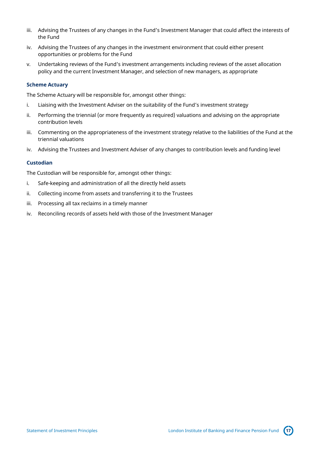- iii. Advising the Trustees of any changes in the Fund's Investment Manager that could affect the interests of the Fund
- iv. Advising the Trustees of any changes in the investment environment that could either present opportunities or problems for the Fund
- v. Undertaking reviews of the Fund's investment arrangements including reviews of the asset allocation policy and the current Investment Manager, and selection of new managers, as appropriate

#### **Scheme Actuary**

The Scheme Actuary will be responsible for, amongst other things:

- i. Liaising with the Investment Adviser on the suitability of the Fund's investment strategy
- ii. Performing the triennial (or more frequently as required) valuations and advising on the appropriate contribution levels
- iii. Commenting on the appropriateness of the investment strategy relative to the liabilities of the Fund at the triennial valuations
- iv. Advising the Trustees and Investment Adviser of any changes to contribution levels and funding level

### **Custodian**

The Custodian will be responsible for, amongst other things:

- i. Safe-keeping and administration of all the directly held assets
- ii. Collecting income from assets and transferring it to the Trustees
- iii. Processing all tax reclaims in a timely manner
- iv. Reconciling records of assets held with those of the Investment Manager

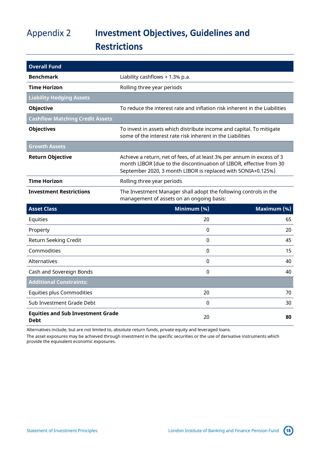### <span id="page-17-0"></span>**Appendix 2 Investment Objectives, Guidelines and Restrictions**

| <b>Overall Fund</b>                                     |                                                                                                                                                                                                               |             |  |  |
|---------------------------------------------------------|---------------------------------------------------------------------------------------------------------------------------------------------------------------------------------------------------------------|-------------|--|--|
| <b>Benchmark</b>                                        | Liability cashflows + 1.3% p.a.                                                                                                                                                                               |             |  |  |
| <b>Time Horizon</b>                                     | Rolling three year periods                                                                                                                                                                                    |             |  |  |
| <b>Liability Hedging Assets</b>                         |                                                                                                                                                                                                               |             |  |  |
| Objective                                               | To reduce the interest rate and inflation risk inherent in the Liabilities                                                                                                                                    |             |  |  |
| <b>Cashflow Matching Credit Assets</b>                  |                                                                                                                                                                                                               |             |  |  |
| <b>Objectives</b>                                       | To invest in assets which distribute income and capital. To mitigate<br>some of the interest rate risk inherent in the Liabilities                                                                            |             |  |  |
| <b>Growth Assets</b>                                    |                                                                                                                                                                                                               |             |  |  |
| <b>Return Objective</b>                                 | Achieve a return, net of fees, of at least 3% per annum in excess of 3<br>month LIBOR (due to the discontinuation of LIBOR, effective from 30<br>September 2020, 3 month LIBOR is replaced with SONIA+0.125%) |             |  |  |
| <b>Time Horizon</b>                                     | Rolling three year periods                                                                                                                                                                                    |             |  |  |
| <b>Investment Restrictions</b>                          | The Investment Manager shall adopt the following controls in the<br>management of assets on an ongoing basis:                                                                                                 |             |  |  |
| <b>Asset Class</b>                                      | Minimum (%)                                                                                                                                                                                                   | Maximum (%) |  |  |
| Equities                                                | 20                                                                                                                                                                                                            | 65          |  |  |
| Property                                                | $\mathbf 0$                                                                                                                                                                                                   | 20          |  |  |
| Return Seeking Credit                                   | 0                                                                                                                                                                                                             | 45          |  |  |
| Commodities                                             | $\mathbf 0$                                                                                                                                                                                                   | 15          |  |  |
| Alternatives                                            | 0                                                                                                                                                                                                             | 40          |  |  |
| Cash and Sovereign Bonds                                | $\mathbf 0$                                                                                                                                                                                                   | 40          |  |  |
| <b>Additional Constraints:</b>                          |                                                                                                                                                                                                               |             |  |  |
| Equities plus Commodities                               | 20                                                                                                                                                                                                            | 70          |  |  |
| Sub Investment Grade Debt                               | $\Omega$                                                                                                                                                                                                      | 30          |  |  |
| <b>Equities and Sub Investment Grade</b><br><b>Debt</b> | 20                                                                                                                                                                                                            | 80          |  |  |

Alternatives include, but are not limited to, absolute return funds, private equity and leveraged loans.

The asset exposures may be achieved through investment in the specific securities or the use of derivative instruments which provide the equivalent economic exposures.